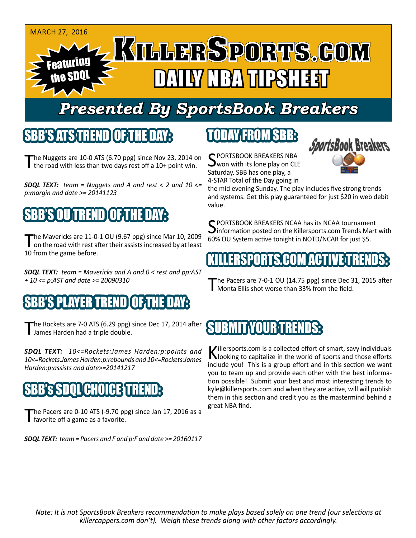#### **MARCH 27, 2016** Featuring the SDQL DAILY NBA TIPSHEET

# *Presented By SportsBook Breakers*

#### SBB'S ATSTREND

The Nuggets are 10-0 ATS (6.70 ppg) since Nov 23, 2014 on the road with less than two days rest off a 10+ point win.

*SDQL TEXT: team = Nuggets and A and rest < 2 and 10 <= p:margin and date >= 20141123*

# SBB'S OU TREND OF TH

The Mavericks are 11-0-1 OU (9.67 ppg) since Mar 10, 2009<br>
on the road with rest after their assists increased by at least 10 from the game before.

*SDQL TEXT: team = Mavericks and A and 0 < rest and pp:AST + 10 <= p:AST and date >= 20090310*

### BE PLAYER TREND

The Rockets are 7-0 ATS (6.29 ppg) since Dec 17, 2014 after James Harden had a triple double.

*SDQL TEXT: 10<=Rockets:James Harden:p:points and 10<=Rockets:James Harden:p:rebounds and 10<=Rockets:James Harden:p:assists and date>=20141217*

#### GHO

The Pacers are 0-10 ATS (-9.70 ppg) since Jan 17, 2016 as a favorite off a game as a favorite.

*SDQL TEXT: team = Pacers and F and p:F and date >= 20160117*

# TODAY FROM SBB:

C PORTSBOOK BREAKERS NBA won with its lone play on CLE Saturday. SBB has one play, a 4-STAR Total of the Day going in



the mid evening Sunday. The play includes five strong trends and systems. Get this play guaranteed for just \$20 in web debit value.

C PORTSBOOK BREAKERS NCAA has its NCAA tournament  $J$ information posted on the Killersports.com Trends Mart with 60% OU System active tonight in NOTD/NCAR for just \$5.

#### KILLERSPORTS.COM ACTIVE TRENDS:

The Pacers are 7-0-1 OU (14.75 ppg) since Dec 31, 2015 after<br>Monta Ellis shot worse than 33% from the field.

#### SUBMITYOUR TREN

Killersports.com is a collected effort of smart, savy individuals<br>Nooking to capitalize in the world of sports and those efforts include you! This is a group effort and in this section we want you to team up and provide each other with the best information possible! Submit your best and most interesting trends to kyle@killersports.com and when they are active, will will publish them in this section and credit you as the mastermind behind a great NBA find.

*Note: It is not SportsBook Breakers recommendation to make plays based solely on one trend (our selections at killercappers.com don't). Weigh these trends along with other factors accordingly.*